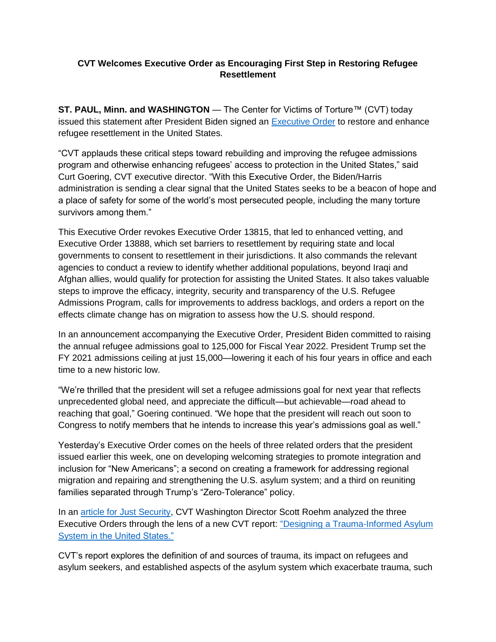## **CVT Welcomes Executive Order as Encouraging First Step in Restoring Refugee Resettlement**

**ST. PAUL, Minn. and WASHINGTON** — The Center for Victims of Torture™ (CVT) today issued this statement after President Biden signed an [Executive Order](https://www.whitehouse.gov/briefing-room/presidential-actions/2021/02/04/executive-order-on-rebuilding-and-enhancing-programs-to-resettle-refugees-and-planning-for-the-impact-of-climate-change-on-migration/) to restore and enhance refugee resettlement in the United States.

"CVT applauds these critical steps toward rebuilding and improving the refugee admissions program and otherwise enhancing refugees' access to protection in the United States," said Curt Goering, CVT executive director. "With this Executive Order, the Biden/Harris administration is sending a clear signal that the United States seeks to be a beacon of hope and a place of safety for some of the world's most persecuted people, including the many torture survivors among them."

This Executive Order revokes Executive Order 13815, that led to enhanced vetting, and Executive Order 13888, which set barriers to resettlement by requiring state and local governments to consent to resettlement in their jurisdictions. It also commands the relevant agencies to conduct a review to identify whether additional populations, beyond Iraqi and Afghan allies, would qualify for protection for assisting the United States. It also takes valuable steps to improve the efficacy, integrity, security and transparency of the U.S. Refugee Admissions Program, calls for improvements to address backlogs, and orders a report on the effects climate change has on migration to assess how the U.S. should respond.

In an announcement accompanying the Executive Order, President Biden committed to raising the annual refugee admissions goal to 125,000 for Fiscal Year 2022. President Trump set the FY 2021 admissions ceiling at just 15,000—lowering it each of his four years in office and each time to a new historic low.

"We're thrilled that the president will set a refugee admissions goal for next year that reflects unprecedented global need, and appreciate the difficult—but achievable—road ahead to reaching that goal," Goering continued. "We hope that the president will reach out soon to Congress to notify members that he intends to increase this year's admissions goal as well."

Yesterday's Executive Order comes on the heels of three related orders that the president issued earlier this week, one on developing welcoming strategies to promote integration and inclusion for "New Americans"; a second on creating a framework for addressing regional migration and repairing and strengthening the U.S. asylum system; and a third on reuniting families separated through Trump's "Zero-Tolerance" policy.

In an [article for Just Security,](https://www.justsecurity.org/74508/bidens-asylum-eos-and-where-to-go-from-here/) CVT Washington Director Scott Roehm analyzed the three Executive Orders through the lens of a new CVT report: ["Designing a Trauma-Informed Asylum](https://www.cvt.org/traumainformedasylum)  [System in the United States."](https://www.cvt.org/traumainformedasylum)

CVT's report explores the definition of and sources of trauma, its impact on refugees and asylum seekers, and established aspects of the asylum system which exacerbate trauma, such